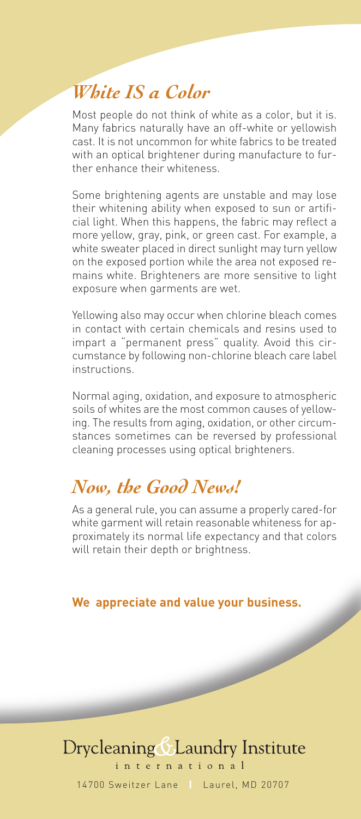## *White IS a Color*

Most people do not think of white as a color, but it is. Many fabrics naturally have an off-white or yellowish cast. It is not uncommon for white fabrics to be treated with an optical brightener during manufacture to further enhance their whiteness.

Some brightening agents are unstable and may lose their whitening ability when exposed to sun or artificial light. When this happens, the fabric may reflect a more yellow, gray, pink, or green cast. For example, a white sweater placed in direct sunlight may turn yellow on the exposed portion while the area not exposed remains white. Brighteners are more sensitive to light exposure when garments are wet.

Yellowing also may occur when chlorine bleach comes in contact with certain chemicals and resins used to impart a "permanent press" quality. Avoid this circumstance by following non-chlorine bleach care label instructions.

Normal aging, oxidation, and exposure to atmospheric soils of whites are the most common causes of yellowing. The results from aging, oxidation, or other circumstances sometimes can be reversed by professional cleaning processes using optical brighteners.

#### *Now, the Good News!*

As a general rule, you can assume a properly cared-for white garment will retain reasonable whiteness for approximately its normal life expectancy and that colors will retain their depth or brightness.

**We appreciate and value your business.**

#### Drycleaning & Laundry Institute nternational

14700 Sweitzer Lane **|** Laurel, MD 20707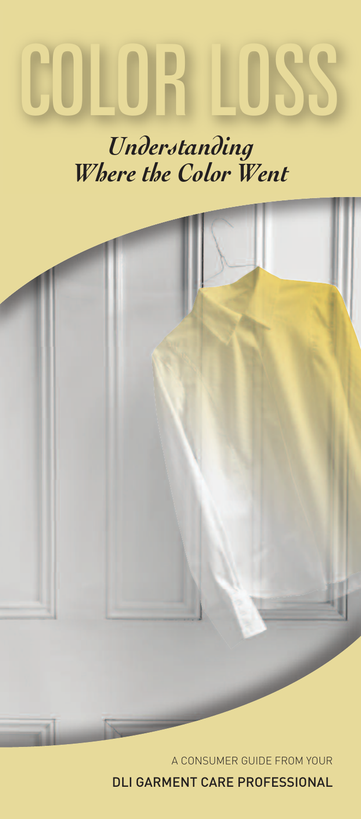# *COLORLOSS*

# *Understanding Where the Color Went*



A CONSUMER GUIDE FROM YOUR

DLI GARMENT CARE PROFESSIONAL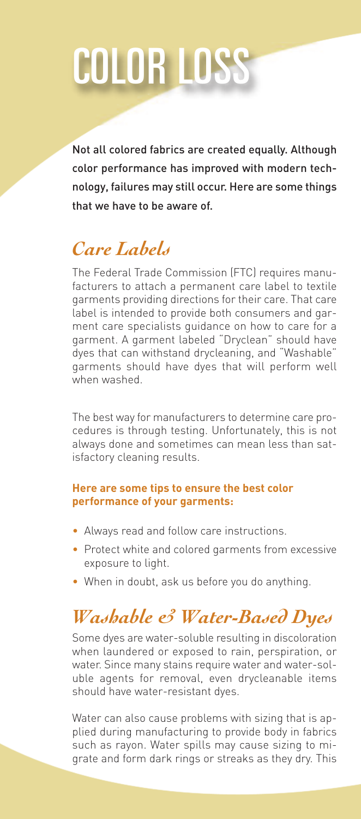# *COLORLOSS*

Not all colored fabrics are created equally. Although color performance has improved with modern technology, failures may still occur. Here are some things that we have to be aware of.

### *Care Labels*

The Federal Trade Commission (FTC) requires manufacturers to attach a permanent care label to textile garments providing directions for their care. That care label is intended to provide both consumers and garment care specialists guidance on how to care for a garment. A garment labeled "Dryclean" should have dyes that can withstand drycleaning, and "Washable" garments should have dyes that will perform well when washed.

The best way for manufacturers to determine care procedures is through testing. Unfortunately, this is not always done and sometimes can mean less than satisfactory cleaning results.

#### **Here are some tips to ensure the best color performance of your garments:**

- Always read and follow care instructions.
- Protect white and colored garments from excessive exposure to light.
- When in doubt, ask us before you do anything.

# *Washable & Water-Based Dyes*

Some dyes are water-soluble resulting in discoloration when laundered or exposed to rain, perspiration, or water. Since many stains require water and water-soluble agents for removal, even drycleanable items should have water-resistant dyes.

Water can also cause problems with sizing that is applied during manufacturing to provide body in fabrics such as rayon. Water spills may cause sizing to migrate and form dark rings or streaks as they dry. This